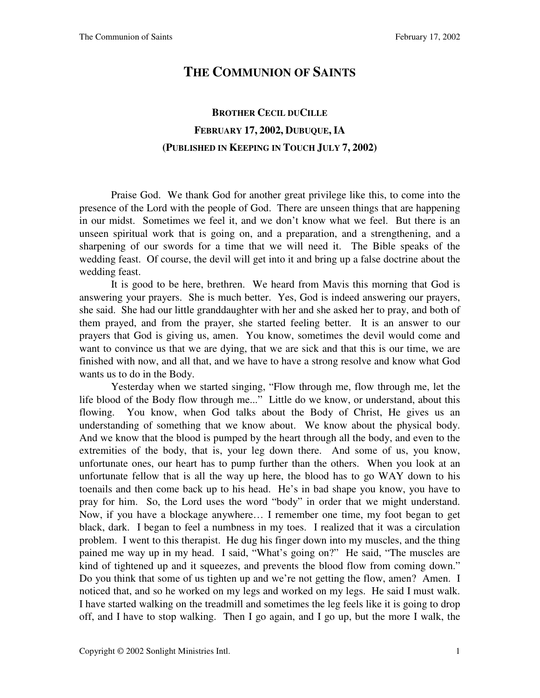## **THE COMMUNION OF SAINTS**

# **BROTHER CECIL DUCILLE FEBRUARY 17, 2002, DUBUQUE, IA (PUBLISHED IN KEEPING IN TOUCH JULY 7, 2002)**

 Praise God. We thank God for another great privilege like this, to come into the presence of the Lord with the people of God. There are unseen things that are happening in our midst. Sometimes we feel it, and we don't know what we feel. But there is an unseen spiritual work that is going on, and a preparation, and a strengthening, and a sharpening of our swords for a time that we will need it. The Bible speaks of the wedding feast. Of course, the devil will get into it and bring up a false doctrine about the wedding feast.

 It is good to be here, brethren. We heard from Mavis this morning that God is answering your prayers. She is much better. Yes, God is indeed answering our prayers, she said. She had our little granddaughter with her and she asked her to pray, and both of them prayed, and from the prayer, she started feeling better. It is an answer to our prayers that God is giving us, amen. You know, sometimes the devil would come and want to convince us that we are dying, that we are sick and that this is our time, we are finished with now, and all that, and we have to have a strong resolve and know what God wants us to do in the Body.

 Yesterday when we started singing, "Flow through me, flow through me, let the life blood of the Body flow through me..." Little do we know, or understand, about this flowing. You know, when God talks about the Body of Christ, He gives us an understanding of something that we know about. We know about the physical body. And we know that the blood is pumped by the heart through all the body, and even to the extremities of the body, that is, your leg down there. And some of us, you know, unfortunate ones, our heart has to pump further than the others. When you look at an unfortunate fellow that is all the way up here, the blood has to go WAY down to his toenails and then come back up to his head. He's in bad shape you know, you have to pray for him. So, the Lord uses the word "body" in order that we might understand. Now, if you have a blockage anywhere… I remember one time, my foot began to get black, dark. I began to feel a numbness in my toes. I realized that it was a circulation problem. I went to this therapist. He dug his finger down into my muscles, and the thing pained me way up in my head. I said, "What's going on?" He said, "The muscles are kind of tightened up and it squeezes, and prevents the blood flow from coming down." Do you think that some of us tighten up and we're not getting the flow, amen? Amen. I noticed that, and so he worked on my legs and worked on my legs. He said I must walk. I have started walking on the treadmill and sometimes the leg feels like it is going to drop off, and I have to stop walking. Then I go again, and I go up, but the more I walk, the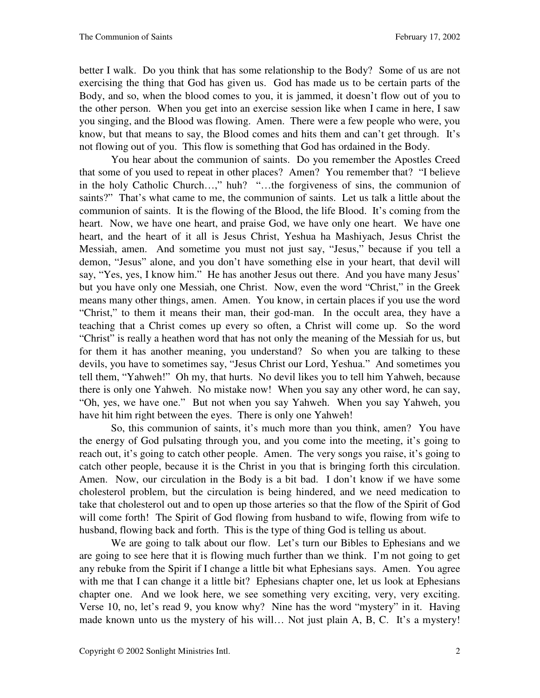better I walk. Do you think that has some relationship to the Body? Some of us are not exercising the thing that God has given us. God has made us to be certain parts of the Body, and so, when the blood comes to you, it is jammed, it doesn't flow out of you to the other person. When you get into an exercise session like when I came in here, I saw you singing, and the Blood was flowing. Amen. There were a few people who were, you know, but that means to say, the Blood comes and hits them and can't get through. It's not flowing out of you. This flow is something that God has ordained in the Body.

 You hear about the communion of saints. Do you remember the Apostles Creed that some of you used to repeat in other places? Amen? You remember that? "I believe in the holy Catholic Church…," huh? "…the forgiveness of sins, the communion of saints?" That's what came to me, the communion of saints. Let us talk a little about the communion of saints. It is the flowing of the Blood, the life Blood. It's coming from the heart. Now, we have one heart, and praise God, we have only one heart. We have one heart, and the heart of it all is Jesus Christ, Yeshua ha Mashiyach, Jesus Christ the Messiah, amen. And sometime you must not just say, "Jesus," because if you tell a demon, "Jesus" alone, and you don't have something else in your heart, that devil will say, "Yes, yes, I know him." He has another Jesus out there. And you have many Jesus' but you have only one Messiah, one Christ. Now, even the word "Christ," in the Greek means many other things, amen. Amen. You know, in certain places if you use the word "Christ," to them it means their man, their god-man. In the occult area, they have a teaching that a Christ comes up every so often, a Christ will come up. So the word "Christ" is really a heathen word that has not only the meaning of the Messiah for us, but for them it has another meaning, you understand? So when you are talking to these devils, you have to sometimes say, "Jesus Christ our Lord, Yeshua." And sometimes you tell them, "Yahweh!" Oh my, that hurts. No devil likes you to tell him Yahweh, because there is only one Yahweh. No mistake now! When you say any other word, he can say, "Oh, yes, we have one." But not when you say Yahweh. When you say Yahweh, you have hit him right between the eyes. There is only one Yahweh!

 So, this communion of saints, it's much more than you think, amen? You have the energy of God pulsating through you, and you come into the meeting, it's going to reach out, it's going to catch other people. Amen. The very songs you raise, it's going to catch other people, because it is the Christ in you that is bringing forth this circulation. Amen. Now, our circulation in the Body is a bit bad. I don't know if we have some cholesterol problem, but the circulation is being hindered, and we need medication to take that cholesterol out and to open up those arteries so that the flow of the Spirit of God will come forth! The Spirit of God flowing from husband to wife, flowing from wife to husband, flowing back and forth. This is the type of thing God is telling us about.

 We are going to talk about our flow. Let's turn our Bibles to Ephesians and we are going to see here that it is flowing much further than we think. I'm not going to get any rebuke from the Spirit if I change a little bit what Ephesians says. Amen. You agree with me that I can change it a little bit? Ephesians chapter one, let us look at Ephesians chapter one. And we look here, we see something very exciting, very, very exciting. Verse 10, no, let's read 9, you know why? Nine has the word "mystery" in it. Having made known unto us the mystery of his will… Not just plain A, B, C. It's a mystery!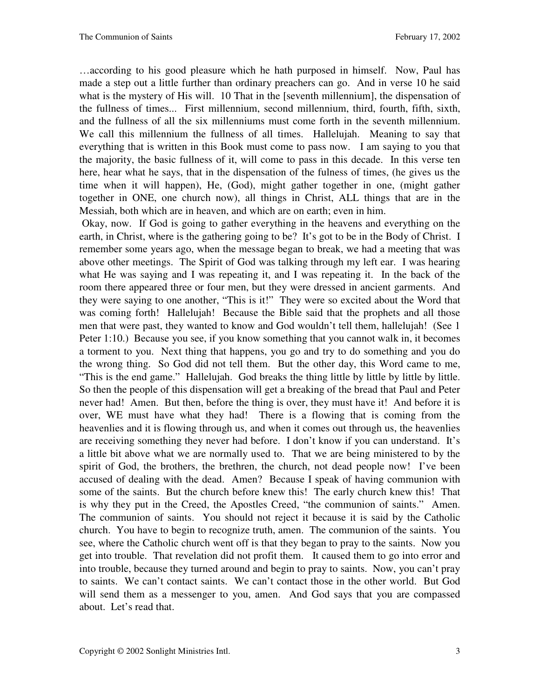…according to his good pleasure which he hath purposed in himself. Now, Paul has made a step out a little further than ordinary preachers can go. And in verse 10 he said what is the mystery of His will. 10 That in the [seventh millennium], the dispensation of the fullness of times... First millennium, second millennium, third, fourth, fifth, sixth, and the fullness of all the six millenniums must come forth in the seventh millennium. We call this millennium the fullness of all times. Hallelujah. Meaning to say that everything that is written in this Book must come to pass now. I am saying to you that the majority, the basic fullness of it, will come to pass in this decade. In this verse ten here, hear what he says, that in the dispensation of the fulness of times, (he gives us the time when it will happen), He, (God), might gather together in one, (might gather together in ONE, one church now), all things in Christ, ALL things that are in the Messiah, both which are in heaven, and which are on earth; even in him.

 Okay, now. If God is going to gather everything in the heavens and everything on the earth, in Christ, where is the gathering going to be? It's got to be in the Body of Christ. I remember some years ago, when the message began to break, we had a meeting that was above other meetings. The Spirit of God was talking through my left ear. I was hearing what He was saying and I was repeating it, and I was repeating it. In the back of the room there appeared three or four men, but they were dressed in ancient garments. And they were saying to one another, "This is it!" They were so excited about the Word that was coming forth! Hallelujah! Because the Bible said that the prophets and all those men that were past, they wanted to know and God wouldn't tell them, hallelujah! (See 1 Peter 1:10.) Because you see, if you know something that you cannot walk in, it becomes a torment to you. Next thing that happens, you go and try to do something and you do the wrong thing. So God did not tell them. But the other day, this Word came to me, "This is the end game." Hallelujah. God breaks the thing little by little by little by little. So then the people of this dispensation will get a breaking of the bread that Paul and Peter never had! Amen. But then, before the thing is over, they must have it! And before it is over, WE must have what they had! There is a flowing that is coming from the heavenlies and it is flowing through us, and when it comes out through us, the heavenlies are receiving something they never had before. I don't know if you can understand. It's a little bit above what we are normally used to. That we are being ministered to by the spirit of God, the brothers, the brethren, the church, not dead people now! I've been accused of dealing with the dead. Amen? Because I speak of having communion with some of the saints. But the church before knew this! The early church knew this! That is why they put in the Creed, the Apostles Creed, "the communion of saints." Amen. The communion of saints. You should not reject it because it is said by the Catholic church. You have to begin to recognize truth, amen. The communion of the saints. You see, where the Catholic church went off is that they began to pray to the saints. Now you get into trouble. That revelation did not profit them. It caused them to go into error and into trouble, because they turned around and begin to pray to saints. Now, you can't pray to saints. We can't contact saints. We can't contact those in the other world. But God will send them as a messenger to you, amen. And God says that you are compassed about. Let's read that.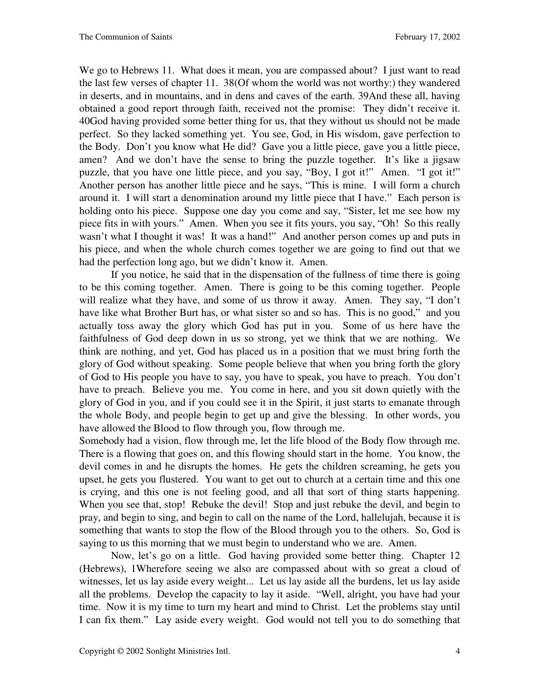We go to Hebrews 11. What does it mean, you are compassed about? I just want to read the last few verses of chapter 11. 38(Of whom the world was not worthy:) they wandered in deserts, and in mountains, and in dens and caves of the earth. 39And these all, having obtained a good report through faith, received not the promise: They didn't receive it. 40God having provided some better thing for us, that they without us should not be made perfect. So they lacked something yet. You see, God, in His wisdom, gave perfection to the Body. Don't you know what He did? Gave you a little piece, gave you a little piece, amen? And we don't have the sense to bring the puzzle together. It's like a jigsaw puzzle, that you have one little piece, and you say, "Boy, I got it!" Amen. "I got it!" Another person has another little piece and he says, "This is mine. I will form a church around it. I will start a denomination around my little piece that I have." Each person is holding onto his piece. Suppose one day you come and say, "Sister, let me see how my piece fits in with yours." Amen. When you see it fits yours, you say, "Oh! So this really wasn't what I thought it was! It was a hand!" And another person comes up and puts in his piece, and when the whole church comes together we are going to find out that we had the perfection long ago, but we didn't know it. Amen.

 If you notice, he said that in the dispensation of the fullness of time there is going to be this coming together. Amen. There is going to be this coming together. People will realize what they have, and some of us throw it away. Amen. They say, "I don't have like what Brother Burt has, or what sister so and so has. This is no good," and you actually toss away the glory which God has put in you. Some of us here have the faithfulness of God deep down in us so strong, yet we think that we are nothing. We think are nothing, and yet, God has placed us in a position that we must bring forth the glory of God without speaking. Some people believe that when you bring forth the glory of God to His people you have to say, you have to speak, you have to preach. You don't have to preach. Believe you me. You come in here, and you sit down quietly with the glory of God in you, and if you could see it in the Spirit, it just starts to emanate through the whole Body, and people begin to get up and give the blessing. In other words, you have allowed the Blood to flow through you, flow through me.

Somebody had a vision, flow through me, let the life blood of the Body flow through me. There is a flowing that goes on, and this flowing should start in the home. You know, the devil comes in and he disrupts the homes. He gets the children screaming, he gets you upset, he gets you flustered. You want to get out to church at a certain time and this one is crying, and this one is not feeling good, and all that sort of thing starts happening. When you see that, stop! Rebuke the devil! Stop and just rebuke the devil, and begin to pray, and begin to sing, and begin to call on the name of the Lord, hallelujah, because it is something that wants to stop the flow of the Blood through you to the others. So, God is saying to us this morning that we must begin to understand who we are. Amen.

 Now, let's go on a little. God having provided some better thing. Chapter 12 (Hebrews), 1Wherefore seeing we also are compassed about with so great a cloud of witnesses, let us lay aside every weight... Let us lay aside all the burdens, let us lay aside all the problems. Develop the capacity to lay it aside. "Well, alright, you have had your time. Now it is my time to turn my heart and mind to Christ. Let the problems stay until I can fix them." Lay aside every weight. God would not tell you to do something that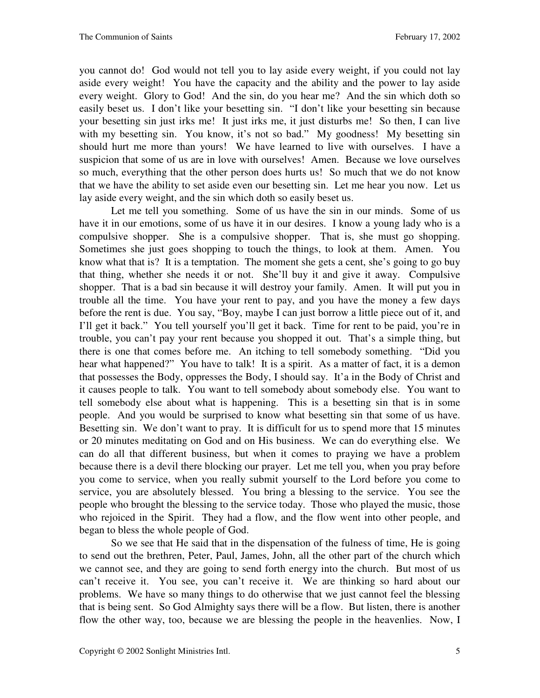you cannot do! God would not tell you to lay aside every weight, if you could not lay aside every weight! You have the capacity and the ability and the power to lay aside every weight. Glory to God! And the sin, do you hear me? And the sin which doth so easily beset us. I don't like your besetting sin. "I don't like your besetting sin because your besetting sin just irks me! It just irks me, it just disturbs me! So then, I can live with my besetting sin. You know, it's not so bad." My goodness! My besetting sin should hurt me more than yours! We have learned to live with ourselves. I have a suspicion that some of us are in love with ourselves! Amen. Because we love ourselves so much, everything that the other person does hurts us! So much that we do not know that we have the ability to set aside even our besetting sin. Let me hear you now. Let us lay aside every weight, and the sin which doth so easily beset us.

 Let me tell you something. Some of us have the sin in our minds. Some of us have it in our emotions, some of us have it in our desires. I know a young lady who is a compulsive shopper. She is a compulsive shopper. That is, she must go shopping. Sometimes she just goes shopping to touch the things, to look at them. Amen. You know what that is? It is a temptation. The moment she gets a cent, she's going to go buy that thing, whether she needs it or not. She'll buy it and give it away. Compulsive shopper. That is a bad sin because it will destroy your family. Amen. It will put you in trouble all the time. You have your rent to pay, and you have the money a few days before the rent is due. You say, "Boy, maybe I can just borrow a little piece out of it, and I'll get it back." You tell yourself you'll get it back. Time for rent to be paid, you're in trouble, you can't pay your rent because you shopped it out. That's a simple thing, but there is one that comes before me. An itching to tell somebody something. "Did you hear what happened?" You have to talk! It is a spirit. As a matter of fact, it is a demon that possesses the Body, oppresses the Body, I should say. It'a in the Body of Christ and it causes people to talk. You want to tell somebody about somebody else. You want to tell somebody else about what is happening. This is a besetting sin that is in some people. And you would be surprised to know what besetting sin that some of us have. Besetting sin. We don't want to pray. It is difficult for us to spend more that 15 minutes or 20 minutes meditating on God and on His business. We can do everything else. We can do all that different business, but when it comes to praying we have a problem because there is a devil there blocking our prayer. Let me tell you, when you pray before you come to service, when you really submit yourself to the Lord before you come to service, you are absolutely blessed. You bring a blessing to the service. You see the people who brought the blessing to the service today. Those who played the music, those who rejoiced in the Spirit. They had a flow, and the flow went into other people, and began to bless the whole people of God.

 So we see that He said that in the dispensation of the fulness of time, He is going to send out the brethren, Peter, Paul, James, John, all the other part of the church which we cannot see, and they are going to send forth energy into the church. But most of us can't receive it. You see, you can't receive it. We are thinking so hard about our problems. We have so many things to do otherwise that we just cannot feel the blessing that is being sent. So God Almighty says there will be a flow. But listen, there is another flow the other way, too, because we are blessing the people in the heavenlies. Now, I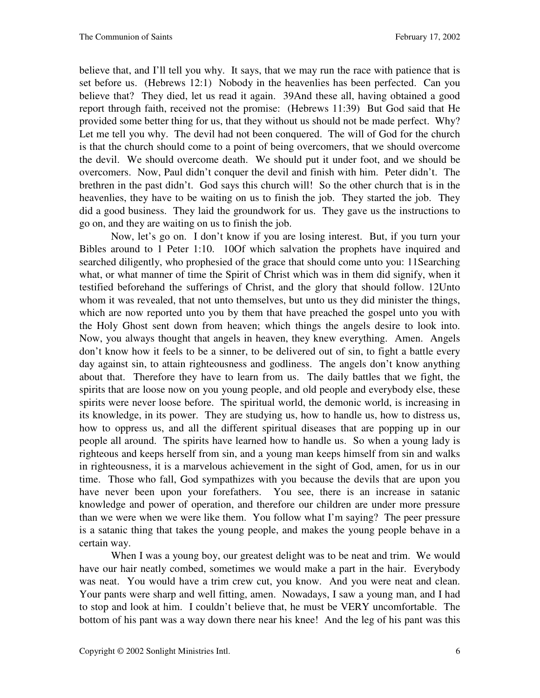believe that, and I'll tell you why. It says, that we may run the race with patience that is set before us. (Hebrews 12:1) Nobody in the heavenlies has been perfected. Can you believe that? They died, let us read it again. 39And these all, having obtained a good report through faith, received not the promise: (Hebrews 11:39) But God said that He provided some better thing for us, that they without us should not be made perfect. Why? Let me tell you why. The devil had not been conquered. The will of God for the church is that the church should come to a point of being overcomers, that we should overcome the devil. We should overcome death. We should put it under foot, and we should be overcomers. Now, Paul didn't conquer the devil and finish with him. Peter didn't. The brethren in the past didn't. God says this church will! So the other church that is in the heavenlies, they have to be waiting on us to finish the job. They started the job. They did a good business. They laid the groundwork for us. They gave us the instructions to go on, and they are waiting on us to finish the job.

 Now, let's go on. I don't know if you are losing interest. But, if you turn your Bibles around to 1 Peter 1:10. 10Of which salvation the prophets have inquired and searched diligently, who prophesied of the grace that should come unto you: 11Searching what, or what manner of time the Spirit of Christ which was in them did signify, when it testified beforehand the sufferings of Christ, and the glory that should follow. 12Unto whom it was revealed, that not unto themselves, but unto us they did minister the things, which are now reported unto you by them that have preached the gospel unto you with the Holy Ghost sent down from heaven; which things the angels desire to look into. Now, you always thought that angels in heaven, they knew everything. Amen. Angels don't know how it feels to be a sinner, to be delivered out of sin, to fight a battle every day against sin, to attain righteousness and godliness. The angels don't know anything about that. Therefore they have to learn from us. The daily battles that we fight, the spirits that are loose now on you young people, and old people and everybody else, these spirits were never loose before. The spiritual world, the demonic world, is increasing in its knowledge, in its power. They are studying us, how to handle us, how to distress us, how to oppress us, and all the different spiritual diseases that are popping up in our people all around. The spirits have learned how to handle us. So when a young lady is righteous and keeps herself from sin, and a young man keeps himself from sin and walks in righteousness, it is a marvelous achievement in the sight of God, amen, for us in our time. Those who fall, God sympathizes with you because the devils that are upon you have never been upon your forefathers. You see, there is an increase in satanic knowledge and power of operation, and therefore our children are under more pressure than we were when we were like them. You follow what I'm saying? The peer pressure is a satanic thing that takes the young people, and makes the young people behave in a certain way.

When I was a young boy, our greatest delight was to be neat and trim. We would have our hair neatly combed, sometimes we would make a part in the hair. Everybody was neat. You would have a trim crew cut, you know. And you were neat and clean. Your pants were sharp and well fitting, amen. Nowadays, I saw a young man, and I had to stop and look at him. I couldn't believe that, he must be VERY uncomfortable. The bottom of his pant was a way down there near his knee! And the leg of his pant was this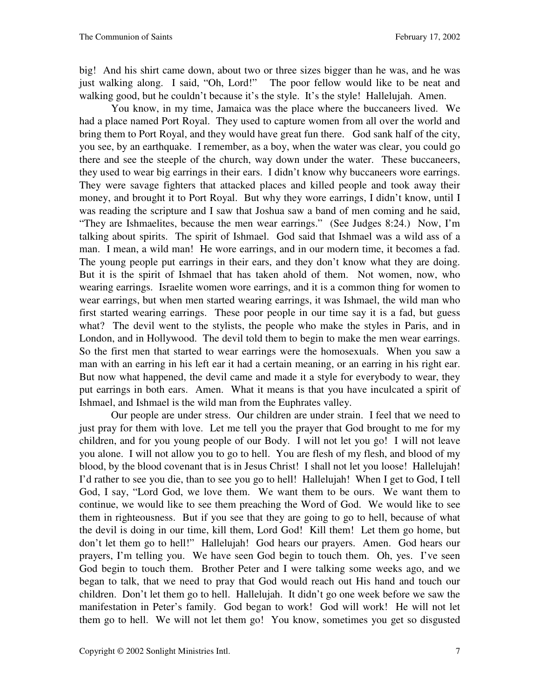big! And his shirt came down, about two or three sizes bigger than he was, and he was just walking along. I said, "Oh, Lord!" The poor fellow would like to be neat and walking good, but he couldn't because it's the style. It's the style! Hallelujah. Amen.

 You know, in my time, Jamaica was the place where the buccaneers lived. We had a place named Port Royal. They used to capture women from all over the world and bring them to Port Royal, and they would have great fun there. God sank half of the city, you see, by an earthquake. I remember, as a boy, when the water was clear, you could go there and see the steeple of the church, way down under the water. These buccaneers, they used to wear big earrings in their ears. I didn't know why buccaneers wore earrings. They were savage fighters that attacked places and killed people and took away their money, and brought it to Port Royal. But why they wore earrings, I didn't know, until I was reading the scripture and I saw that Joshua saw a band of men coming and he said, "They are Ishmaelites, because the men wear earrings." (See Judges 8:24.) Now, I'm talking about spirits. The spirit of Ishmael. God said that Ishmael was a wild ass of a man. I mean, a wild man! He wore earrings, and in our modern time, it becomes a fad. The young people put earrings in their ears, and they don't know what they are doing. But it is the spirit of Ishmael that has taken ahold of them. Not women, now, who wearing earrings. Israelite women wore earrings, and it is a common thing for women to wear earrings, but when men started wearing earrings, it was Ishmael, the wild man who first started wearing earrings. These poor people in our time say it is a fad, but guess what? The devil went to the stylists, the people who make the styles in Paris, and in London, and in Hollywood. The devil told them to begin to make the men wear earrings. So the first men that started to wear earrings were the homosexuals. When you saw a man with an earring in his left ear it had a certain meaning, or an earring in his right ear. But now what happened, the devil came and made it a style for everybody to wear, they put earrings in both ears. Amen. What it means is that you have inculcated a spirit of Ishmael, and Ishmael is the wild man from the Euphrates valley.

 Our people are under stress. Our children are under strain. I feel that we need to just pray for them with love. Let me tell you the prayer that God brought to me for my children, and for you young people of our Body. I will not let you go! I will not leave you alone. I will not allow you to go to hell. You are flesh of my flesh, and blood of my blood, by the blood covenant that is in Jesus Christ! I shall not let you loose! Hallelujah! I'd rather to see you die, than to see you go to hell! Hallelujah! When I get to God, I tell God, I say, "Lord God, we love them. We want them to be ours. We want them to continue, we would like to see them preaching the Word of God. We would like to see them in righteousness. But if you see that they are going to go to hell, because of what the devil is doing in our time, kill them, Lord God! Kill them! Let them go home, but don't let them go to hell!" Hallelujah! God hears our prayers. Amen. God hears our prayers, I'm telling you. We have seen God begin to touch them. Oh, yes. I've seen God begin to touch them. Brother Peter and I were talking some weeks ago, and we began to talk, that we need to pray that God would reach out His hand and touch our children. Don't let them go to hell. Hallelujah. It didn't go one week before we saw the manifestation in Peter's family. God began to work! God will work! He will not let them go to hell. We will not let them go! You know, sometimes you get so disgusted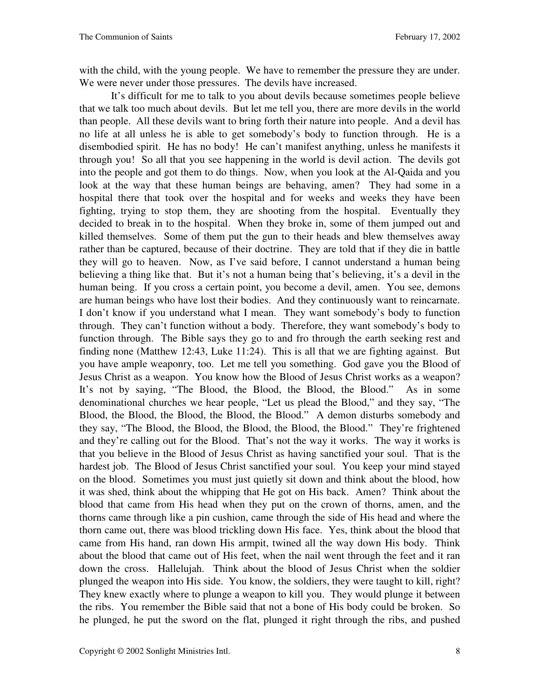with the child, with the young people. We have to remember the pressure they are under. We were never under those pressures. The devils have increased.

 It's difficult for me to talk to you about devils because sometimes people believe that we talk too much about devils. But let me tell you, there are more devils in the world than people. All these devils want to bring forth their nature into people. And a devil has no life at all unless he is able to get somebody's body to function through. He is a disembodied spirit. He has no body! He can't manifest anything, unless he manifests it through you! So all that you see happening in the world is devil action. The devils got into the people and got them to do things. Now, when you look at the Al-Qaida and you look at the way that these human beings are behaving, amen? They had some in a hospital there that took over the hospital and for weeks and weeks they have been fighting, trying to stop them, they are shooting from the hospital. Eventually they decided to break in to the hospital. When they broke in, some of them jumped out and killed themselves. Some of them put the gun to their heads and blew themselves away rather than be captured, because of their doctrine. They are told that if they die in battle they will go to heaven. Now, as I've said before, I cannot understand a human being believing a thing like that. But it's not a human being that's believing, it's a devil in the human being. If you cross a certain point, you become a devil, amen. You see, demons are human beings who have lost their bodies. And they continuously want to reincarnate. I don't know if you understand what I mean. They want somebody's body to function through. They can't function without a body. Therefore, they want somebody's body to function through. The Bible says they go to and fro through the earth seeking rest and finding none (Matthew 12:43, Luke 11:24). This is all that we are fighting against. But you have ample weaponry, too. Let me tell you something. God gave you the Blood of Jesus Christ as a weapon. You know how the Blood of Jesus Christ works as a weapon? It's not by saying, "The Blood, the Blood, the Blood, the Blood." As in some denominational churches we hear people, "Let us plead the Blood," and they say, "The Blood, the Blood, the Blood, the Blood, the Blood." A demon disturbs somebody and they say, "The Blood, the Blood, the Blood, the Blood, the Blood." They're frightened and they're calling out for the Blood. That's not the way it works. The way it works is that you believe in the Blood of Jesus Christ as having sanctified your soul. That is the hardest job. The Blood of Jesus Christ sanctified your soul. You keep your mind stayed on the blood. Sometimes you must just quietly sit down and think about the blood, how it was shed, think about the whipping that He got on His back. Amen? Think about the blood that came from His head when they put on the crown of thorns, amen, and the thorns came through like a pin cushion, came through the side of His head and where the thorn came out, there was blood trickling down His face. Yes, think about the blood that came from His hand, ran down His armpit, twined all the way down His body. Think about the blood that came out of His feet, when the nail went through the feet and it ran down the cross. Hallelujah. Think about the blood of Jesus Christ when the soldier plunged the weapon into His side. You know, the soldiers, they were taught to kill, right? They knew exactly where to plunge a weapon to kill you. They would plunge it between the ribs. You remember the Bible said that not a bone of His body could be broken. So he plunged, he put the sword on the flat, plunged it right through the ribs, and pushed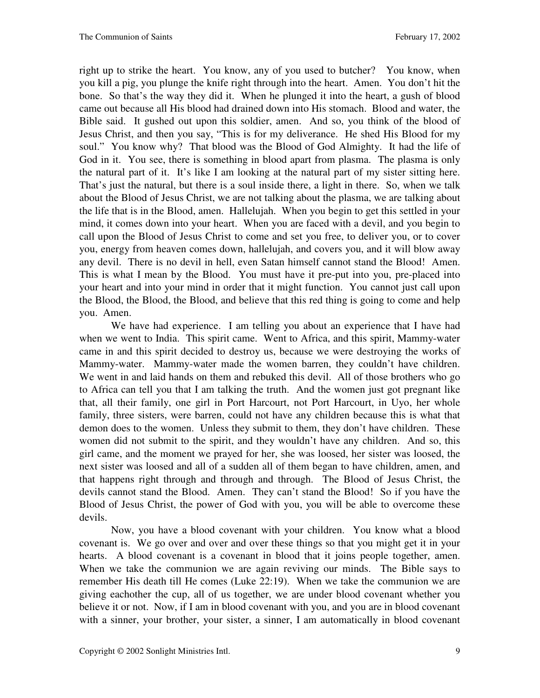right up to strike the heart. You know, any of you used to butcher? You know, when you kill a pig, you plunge the knife right through into the heart. Amen. You don't hit the bone. So that's the way they did it. When he plunged it into the heart, a gush of blood came out because all His blood had drained down into His stomach. Blood and water, the Bible said. It gushed out upon this soldier, amen. And so, you think of the blood of Jesus Christ, and then you say, "This is for my deliverance. He shed His Blood for my soul." You know why? That blood was the Blood of God Almighty. It had the life of God in it. You see, there is something in blood apart from plasma. The plasma is only the natural part of it. It's like I am looking at the natural part of my sister sitting here. That's just the natural, but there is a soul inside there, a light in there. So, when we talk about the Blood of Jesus Christ, we are not talking about the plasma, we are talking about the life that is in the Blood, amen. Hallelujah. When you begin to get this settled in your mind, it comes down into your heart. When you are faced with a devil, and you begin to call upon the Blood of Jesus Christ to come and set you free, to deliver you, or to cover you, energy from heaven comes down, hallelujah, and covers you, and it will blow away any devil. There is no devil in hell, even Satan himself cannot stand the Blood! Amen. This is what I mean by the Blood. You must have it pre-put into you, pre-placed into your heart and into your mind in order that it might function. You cannot just call upon the Blood, the Blood, the Blood, and believe that this red thing is going to come and help you. Amen.

 We have had experience. I am telling you about an experience that I have had when we went to India. This spirit came. Went to Africa, and this spirit, Mammy-water came in and this spirit decided to destroy us, because we were destroying the works of Mammy-water. Mammy-water made the women barren, they couldn't have children. We went in and laid hands on them and rebuked this devil. All of those brothers who go to Africa can tell you that I am talking the truth. And the women just got pregnant like that, all their family, one girl in Port Harcourt, not Port Harcourt, in Uyo, her whole family, three sisters, were barren, could not have any children because this is what that demon does to the women. Unless they submit to them, they don't have children. These women did not submit to the spirit, and they wouldn't have any children. And so, this girl came, and the moment we prayed for her, she was loosed, her sister was loosed, the next sister was loosed and all of a sudden all of them began to have children, amen, and that happens right through and through and through. The Blood of Jesus Christ, the devils cannot stand the Blood. Amen. They can't stand the Blood! So if you have the Blood of Jesus Christ, the power of God with you, you will be able to overcome these devils.

 Now, you have a blood covenant with your children. You know what a blood covenant is. We go over and over and over these things so that you might get it in your hearts. A blood covenant is a covenant in blood that it joins people together, amen. When we take the communion we are again reviving our minds. The Bible says to remember His death till He comes (Luke 22:19). When we take the communion we are giving eachother the cup, all of us together, we are under blood covenant whether you believe it or not. Now, if I am in blood covenant with you, and you are in blood covenant with a sinner, your brother, your sister, a sinner, I am automatically in blood covenant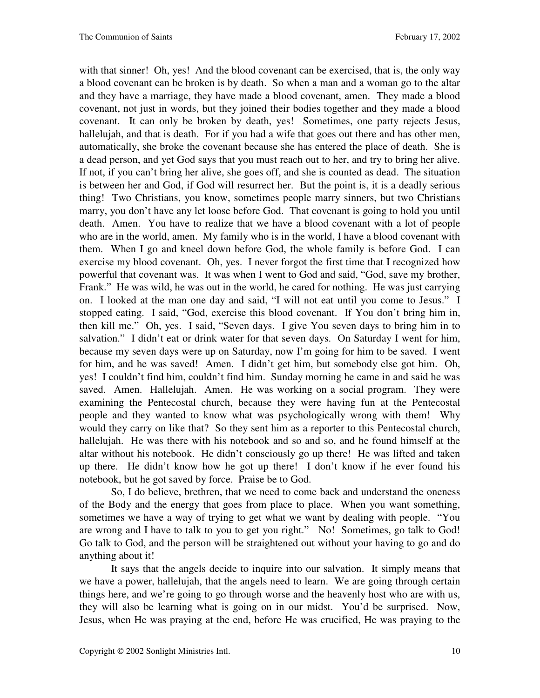with that sinner! Oh, yes! And the blood covenant can be exercised, that is, the only way a blood covenant can be broken is by death. So when a man and a woman go to the altar and they have a marriage, they have made a blood covenant, amen. They made a blood covenant, not just in words, but they joined their bodies together and they made a blood covenant. It can only be broken by death, yes! Sometimes, one party rejects Jesus, hallelujah, and that is death. For if you had a wife that goes out there and has other men, automatically, she broke the covenant because she has entered the place of death. She is a dead person, and yet God says that you must reach out to her, and try to bring her alive. If not, if you can't bring her alive, she goes off, and she is counted as dead. The situation is between her and God, if God will resurrect her. But the point is, it is a deadly serious thing! Two Christians, you know, sometimes people marry sinners, but two Christians marry, you don't have any let loose before God. That covenant is going to hold you until death. Amen. You have to realize that we have a blood covenant with a lot of people who are in the world, amen. My family who is in the world, I have a blood covenant with them. When I go and kneel down before God, the whole family is before God. I can exercise my blood covenant. Oh, yes. I never forgot the first time that I recognized how powerful that covenant was. It was when I went to God and said, "God, save my brother, Frank." He was wild, he was out in the world, he cared for nothing. He was just carrying on. I looked at the man one day and said, "I will not eat until you come to Jesus." I stopped eating. I said, "God, exercise this blood covenant. If You don't bring him in, then kill me." Oh, yes. I said, "Seven days. I give You seven days to bring him in to salvation." I didn't eat or drink water for that seven days. On Saturday I went for him, because my seven days were up on Saturday, now I'm going for him to be saved. I went for him, and he was saved! Amen. I didn't get him, but somebody else got him. Oh, yes! I couldn't find him, couldn't find him. Sunday morning he came in and said he was saved. Amen. Hallelujah. Amen. He was working on a social program. They were examining the Pentecostal church, because they were having fun at the Pentecostal people and they wanted to know what was psychologically wrong with them! Why would they carry on like that? So they sent him as a reporter to this Pentecostal church, hallelujah. He was there with his notebook and so and so, and he found himself at the altar without his notebook. He didn't consciously go up there! He was lifted and taken up there. He didn't know how he got up there! I don't know if he ever found his notebook, but he got saved by force. Praise be to God.

 So, I do believe, brethren, that we need to come back and understand the oneness of the Body and the energy that goes from place to place. When you want something, sometimes we have a way of trying to get what we want by dealing with people. "You are wrong and I have to talk to you to get you right." No! Sometimes, go talk to God! Go talk to God, and the person will be straightened out without your having to go and do anything about it!

 It says that the angels decide to inquire into our salvation. It simply means that we have a power, hallelujah, that the angels need to learn. We are going through certain things here, and we're going to go through worse and the heavenly host who are with us, they will also be learning what is going on in our midst. You'd be surprised. Now, Jesus, when He was praying at the end, before He was crucified, He was praying to the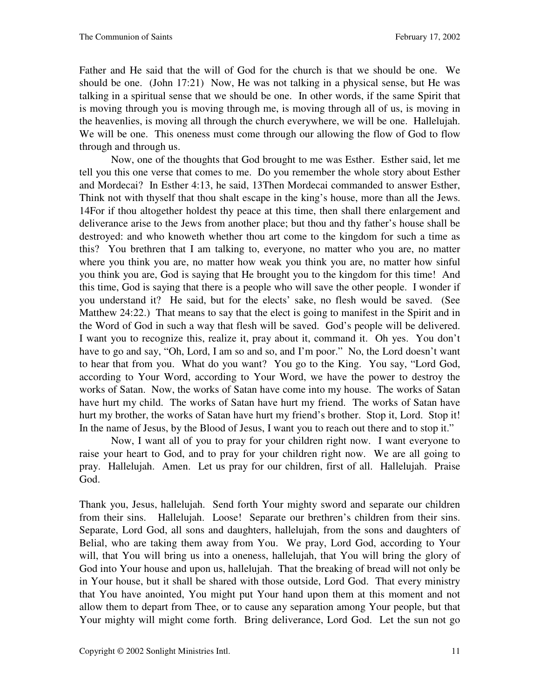Father and He said that the will of God for the church is that we should be one. We should be one. (John 17:21) Now, He was not talking in a physical sense, but He was talking in a spiritual sense that we should be one. In other words, if the same Spirit that is moving through you is moving through me, is moving through all of us, is moving in the heavenlies, is moving all through the church everywhere, we will be one. Hallelujah. We will be one. This oneness must come through our allowing the flow of God to flow through and through us.

 Now, one of the thoughts that God brought to me was Esther. Esther said, let me tell you this one verse that comes to me. Do you remember the whole story about Esther and Mordecai? In Esther 4:13, he said, 13Then Mordecai commanded to answer Esther, Think not with thyself that thou shalt escape in the king's house, more than all the Jews. 14For if thou altogether holdest thy peace at this time, then shall there enlargement and deliverance arise to the Jews from another place; but thou and thy father's house shall be destroyed: and who knoweth whether thou art come to the kingdom for such a time as this? You brethren that I am talking to, everyone, no matter who you are, no matter where you think you are, no matter how weak you think you are, no matter how sinful you think you are, God is saying that He brought you to the kingdom for this time! And this time, God is saying that there is a people who will save the other people. I wonder if you understand it? He said, but for the elects' sake, no flesh would be saved. (See Matthew 24:22.) That means to say that the elect is going to manifest in the Spirit and in the Word of God in such a way that flesh will be saved. God's people will be delivered. I want you to recognize this, realize it, pray about it, command it. Oh yes. You don't have to go and say, "Oh, Lord, I am so and so, and I'm poor." No, the Lord doesn't want to hear that from you. What do you want? You go to the King. You say, "Lord God, according to Your Word, according to Your Word, we have the power to destroy the works of Satan. Now, the works of Satan have come into my house. The works of Satan have hurt my child. The works of Satan have hurt my friend. The works of Satan have hurt my brother, the works of Satan have hurt my friend's brother. Stop it, Lord. Stop it! In the name of Jesus, by the Blood of Jesus, I want you to reach out there and to stop it."

 Now, I want all of you to pray for your children right now. I want everyone to raise your heart to God, and to pray for your children right now. We are all going to pray. Hallelujah. Amen. Let us pray for our children, first of all. Hallelujah. Praise God.

Thank you, Jesus, hallelujah. Send forth Your mighty sword and separate our children from their sins. Hallelujah. Loose! Separate our brethren's children from their sins. Separate, Lord God, all sons and daughters, hallelujah, from the sons and daughters of Belial, who are taking them away from You. We pray, Lord God, according to Your will, that You will bring us into a oneness, hallelujah, that You will bring the glory of God into Your house and upon us, hallelujah. That the breaking of bread will not only be in Your house, but it shall be shared with those outside, Lord God. That every ministry that You have anointed, You might put Your hand upon them at this moment and not allow them to depart from Thee, or to cause any separation among Your people, but that Your mighty will might come forth. Bring deliverance, Lord God. Let the sun not go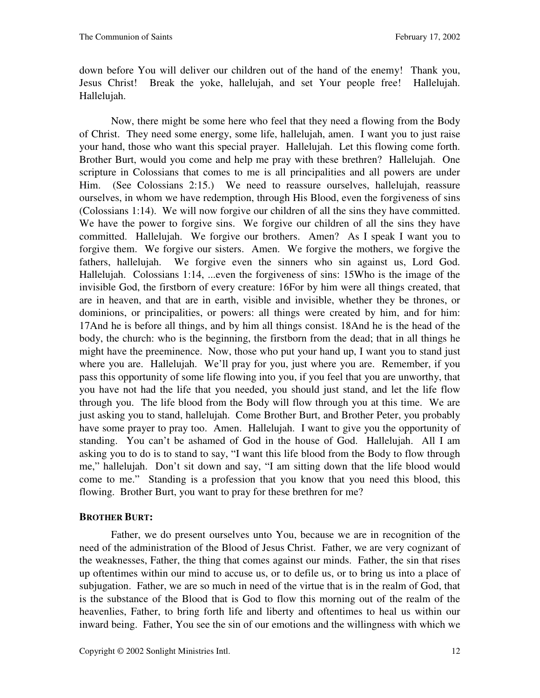down before You will deliver our children out of the hand of the enemy! Thank you, Jesus Christ! Break the yoke, hallelujah, and set Your people free! Hallelujah. Hallelujah.

 Now, there might be some here who feel that they need a flowing from the Body of Christ. They need some energy, some life, hallelujah, amen. I want you to just raise your hand, those who want this special prayer. Hallelujah. Let this flowing come forth. Brother Burt, would you come and help me pray with these brethren? Hallelujah. One scripture in Colossians that comes to me is all principalities and all powers are under Him. (See Colossians 2:15.) We need to reassure ourselves, hallelujah, reassure ourselves, in whom we have redemption, through His Blood, even the forgiveness of sins (Colossians 1:14). We will now forgive our children of all the sins they have committed. We have the power to forgive sins. We forgive our children of all the sins they have committed. Hallelujah. We forgive our brothers. Amen? As I speak I want you to forgive them. We forgive our sisters. Amen. We forgive the mothers, we forgive the fathers, hallelujah. We forgive even the sinners who sin against us, Lord God. Hallelujah. Colossians 1:14, ...even the forgiveness of sins: 15Who is the image of the invisible God, the firstborn of every creature: 16For by him were all things created, that are in heaven, and that are in earth, visible and invisible, whether they be thrones, or dominions, or principalities, or powers: all things were created by him, and for him: 17And he is before all things, and by him all things consist. 18And he is the head of the body, the church: who is the beginning, the firstborn from the dead; that in all things he might have the preeminence. Now, those who put your hand up, I want you to stand just where you are. Hallelujah. We'll pray for you, just where you are. Remember, if you pass this opportunity of some life flowing into you, if you feel that you are unworthy, that you have not had the life that you needed, you should just stand, and let the life flow through you. The life blood from the Body will flow through you at this time. We are just asking you to stand, hallelujah. Come Brother Burt, and Brother Peter, you probably have some prayer to pray too. Amen. Hallelujah. I want to give you the opportunity of standing. You can't be ashamed of God in the house of God. Hallelujah. All I am asking you to do is to stand to say, "I want this life blood from the Body to flow through me," hallelujah. Don't sit down and say, "I am sitting down that the life blood would come to me." Standing is a profession that you know that you need this blood, this flowing. Brother Burt, you want to pray for these brethren for me?

## **BROTHER BURT:**

 Father, we do present ourselves unto You, because we are in recognition of the need of the administration of the Blood of Jesus Christ. Father, we are very cognizant of the weaknesses, Father, the thing that comes against our minds. Father, the sin that rises up oftentimes within our mind to accuse us, or to defile us, or to bring us into a place of subjugation. Father, we are so much in need of the virtue that is in the realm of God, that is the substance of the Blood that is God to flow this morning out of the realm of the heavenlies, Father, to bring forth life and liberty and oftentimes to heal us within our inward being. Father, You see the sin of our emotions and the willingness with which we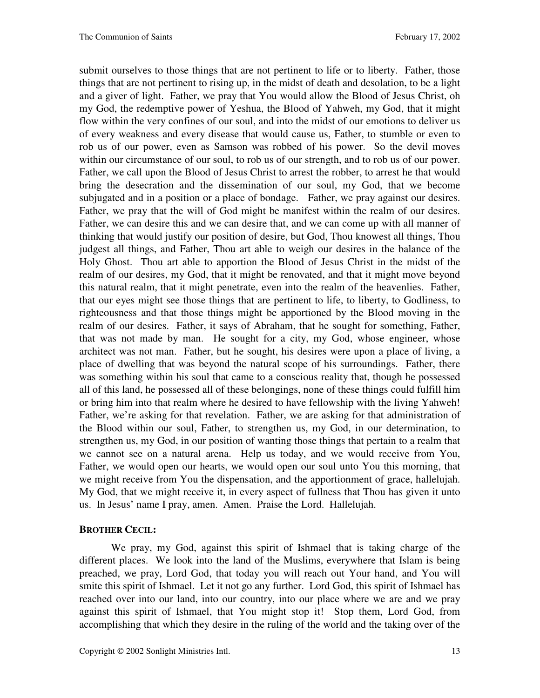submit ourselves to those things that are not pertinent to life or to liberty. Father, those things that are not pertinent to rising up, in the midst of death and desolation, to be a light and a giver of light. Father, we pray that You would allow the Blood of Jesus Christ, oh my God, the redemptive power of Yeshua, the Blood of Yahweh, my God, that it might flow within the very confines of our soul, and into the midst of our emotions to deliver us of every weakness and every disease that would cause us, Father, to stumble or even to rob us of our power, even as Samson was robbed of his power. So the devil moves within our circumstance of our soul, to rob us of our strength, and to rob us of our power. Father, we call upon the Blood of Jesus Christ to arrest the robber, to arrest he that would bring the desecration and the dissemination of our soul, my God, that we become subjugated and in a position or a place of bondage. Father, we pray against our desires. Father, we pray that the will of God might be manifest within the realm of our desires. Father, we can desire this and we can desire that, and we can come up with all manner of thinking that would justify our position of desire, but God, Thou knowest all things, Thou judgest all things, and Father, Thou art able to weigh our desires in the balance of the Holy Ghost. Thou art able to apportion the Blood of Jesus Christ in the midst of the realm of our desires, my God, that it might be renovated, and that it might move beyond this natural realm, that it might penetrate, even into the realm of the heavenlies. Father, that our eyes might see those things that are pertinent to life, to liberty, to Godliness, to righteousness and that those things might be apportioned by the Blood moving in the realm of our desires. Father, it says of Abraham, that he sought for something, Father, that was not made by man. He sought for a city, my God, whose engineer, whose architect was not man. Father, but he sought, his desires were upon a place of living, a place of dwelling that was beyond the natural scope of his surroundings. Father, there was something within his soul that came to a conscious reality that, though he possessed all of this land, he possessed all of these belongings, none of these things could fulfill him or bring him into that realm where he desired to have fellowship with the living Yahweh! Father, we're asking for that revelation. Father, we are asking for that administration of the Blood within our soul, Father, to strengthen us, my God, in our determination, to strengthen us, my God, in our position of wanting those things that pertain to a realm that we cannot see on a natural arena. Help us today, and we would receive from You, Father, we would open our hearts, we would open our soul unto You this morning, that we might receive from You the dispensation, and the apportionment of grace, hallelujah. My God, that we might receive it, in every aspect of fullness that Thou has given it unto us. In Jesus' name I pray, amen. Amen. Praise the Lord. Hallelujah.

#### **BROTHER CECIL:**

 We pray, my God, against this spirit of Ishmael that is taking charge of the different places. We look into the land of the Muslims, everywhere that Islam is being preached, we pray, Lord God, that today you will reach out Your hand, and You will smite this spirit of Ishmael. Let it not go any further. Lord God, this spirit of Ishmael has reached over into our land, into our country, into our place where we are and we pray against this spirit of Ishmael, that You might stop it! Stop them, Lord God, from accomplishing that which they desire in the ruling of the world and the taking over of the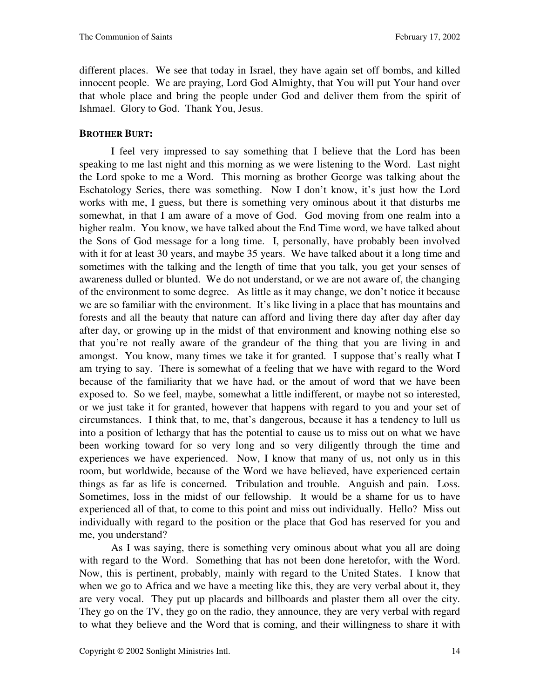different places. We see that today in Israel, they have again set off bombs, and killed innocent people. We are praying, Lord God Almighty, that You will put Your hand over that whole place and bring the people under God and deliver them from the spirit of Ishmael. Glory to God. Thank You, Jesus.

### **BROTHER BURT:**

 I feel very impressed to say something that I believe that the Lord has been speaking to me last night and this morning as we were listening to the Word. Last night the Lord spoke to me a Word. This morning as brother George was talking about the Eschatology Series, there was something. Now I don't know, it's just how the Lord works with me, I guess, but there is something very ominous about it that disturbs me somewhat, in that I am aware of a move of God. God moving from one realm into a higher realm. You know, we have talked about the End Time word, we have talked about the Sons of God message for a long time. I, personally, have probably been involved with it for at least 30 years, and maybe 35 years. We have talked about it a long time and sometimes with the talking and the length of time that you talk, you get your senses of awareness dulled or blunted. We do not understand, or we are not aware of, the changing of the environment to some degree. As little as it may change, we don't notice it because we are so familiar with the environment. It's like living in a place that has mountains and forests and all the beauty that nature can afford and living there day after day after day after day, or growing up in the midst of that environment and knowing nothing else so that you're not really aware of the grandeur of the thing that you are living in and amongst. You know, many times we take it for granted. I suppose that's really what I am trying to say. There is somewhat of a feeling that we have with regard to the Word because of the familiarity that we have had, or the amout of word that we have been exposed to. So we feel, maybe, somewhat a little indifferent, or maybe not so interested, or we just take it for granted, however that happens with regard to you and your set of circumstances. I think that, to me, that's dangerous, because it has a tendency to lull us into a position of lethargy that has the potential to cause us to miss out on what we have been working toward for so very long and so very diligently through the time and experiences we have experienced. Now, I know that many of us, not only us in this room, but worldwide, because of the Word we have believed, have experienced certain things as far as life is concerned. Tribulation and trouble. Anguish and pain. Loss. Sometimes, loss in the midst of our fellowship. It would be a shame for us to have experienced all of that, to come to this point and miss out individually. Hello? Miss out individually with regard to the position or the place that God has reserved for you and me, you understand?

 As I was saying, there is something very ominous about what you all are doing with regard to the Word. Something that has not been done heretofor, with the Word. Now, this is pertinent, probably, mainly with regard to the United States. I know that when we go to Africa and we have a meeting like this, they are very verbal about it, they are very vocal. They put up placards and billboards and plaster them all over the city. They go on the TV, they go on the radio, they announce, they are very verbal with regard to what they believe and the Word that is coming, and their willingness to share it with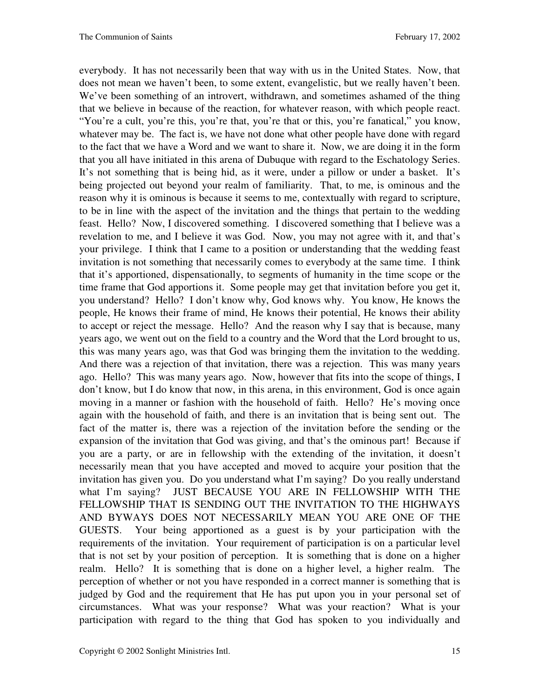everybody. It has not necessarily been that way with us in the United States. Now, that does not mean we haven't been, to some extent, evangelistic, but we really haven't been. We've been something of an introvert, withdrawn, and sometimes ashamed of the thing that we believe in because of the reaction, for whatever reason, with which people react. "You're a cult, you're this, you're that, you're that or this, you're fanatical," you know, whatever may be. The fact is, we have not done what other people have done with regard to the fact that we have a Word and we want to share it. Now, we are doing it in the form that you all have initiated in this arena of Dubuque with regard to the Eschatology Series. It's not something that is being hid, as it were, under a pillow or under a basket. It's being projected out beyond your realm of familiarity. That, to me, is ominous and the reason why it is ominous is because it seems to me, contextually with regard to scripture, to be in line with the aspect of the invitation and the things that pertain to the wedding feast. Hello? Now, I discovered something. I discovered something that I believe was a revelation to me, and I believe it was God. Now, you may not agree with it, and that's your privilege. I think that I came to a position or understanding that the wedding feast invitation is not something that necessarily comes to everybody at the same time. I think that it's apportioned, dispensationally, to segments of humanity in the time scope or the time frame that God apportions it. Some people may get that invitation before you get it, you understand? Hello? I don't know why, God knows why. You know, He knows the people, He knows their frame of mind, He knows their potential, He knows their ability to accept or reject the message. Hello? And the reason why I say that is because, many years ago, we went out on the field to a country and the Word that the Lord brought to us, this was many years ago, was that God was bringing them the invitation to the wedding. And there was a rejection of that invitation, there was a rejection. This was many years ago. Hello? This was many years ago. Now, however that fits into the scope of things, I don't know, but I do know that now, in this arena, in this environment, God is once again moving in a manner or fashion with the household of faith. Hello? He's moving once again with the household of faith, and there is an invitation that is being sent out. The fact of the matter is, there was a rejection of the invitation before the sending or the expansion of the invitation that God was giving, and that's the ominous part! Because if you are a party, or are in fellowship with the extending of the invitation, it doesn't necessarily mean that you have accepted and moved to acquire your position that the invitation has given you. Do you understand what I'm saying? Do you really understand what I'm saying? JUST BECAUSE YOU ARE IN FELLOWSHIP WITH THE FELLOWSHIP THAT IS SENDING OUT THE INVITATION TO THE HIGHWAYS AND BYWAYS DOES NOT NECESSARILY MEAN YOU ARE ONE OF THE GUESTS. Your being apportioned as a guest is by your participation with the requirements of the invitation. Your requirement of participation is on a particular level that is not set by your position of perception. It is something that is done on a higher realm. Hello? It is something that is done on a higher level, a higher realm. The perception of whether or not you have responded in a correct manner is something that is judged by God and the requirement that He has put upon you in your personal set of circumstances. What was your response? What was your reaction? What is your participation with regard to the thing that God has spoken to you individually and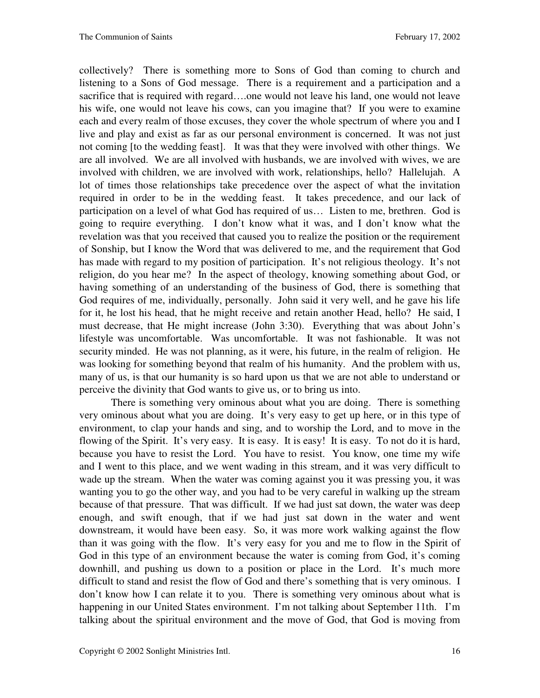collectively? There is something more to Sons of God than coming to church and listening to a Sons of God message. There is a requirement and a participation and a sacrifice that is required with regard….one would not leave his land, one would not leave his wife, one would not leave his cows, can you imagine that? If you were to examine each and every realm of those excuses, they cover the whole spectrum of where you and I live and play and exist as far as our personal environment is concerned. It was not just not coming [to the wedding feast]. It was that they were involved with other things. We are all involved. We are all involved with husbands, we are involved with wives, we are involved with children, we are involved with work, relationships, hello? Hallelujah. A lot of times those relationships take precedence over the aspect of what the invitation required in order to be in the wedding feast. It takes precedence, and our lack of participation on a level of what God has required of us… Listen to me, brethren. God is going to require everything. I don't know what it was, and I don't know what the revelation was that you received that caused you to realize the position or the requirement of Sonship, but I know the Word that was delivered to me, and the requirement that God has made with regard to my position of participation. It's not religious theology. It's not religion, do you hear me? In the aspect of theology, knowing something about God, or having something of an understanding of the business of God, there is something that God requires of me, individually, personally. John said it very well, and he gave his life for it, he lost his head, that he might receive and retain another Head, hello? He said, I must decrease, that He might increase (John 3:30). Everything that was about John's lifestyle was uncomfortable. Was uncomfortable. It was not fashionable. It was not security minded. He was not planning, as it were, his future, in the realm of religion. He was looking for something beyond that realm of his humanity. And the problem with us, many of us, is that our humanity is so hard upon us that we are not able to understand or perceive the divinity that God wants to give us, or to bring us into.

 There is something very ominous about what you are doing. There is something very ominous about what you are doing. It's very easy to get up here, or in this type of environment, to clap your hands and sing, and to worship the Lord, and to move in the flowing of the Spirit. It's very easy. It is easy. It is easy! It is easy. To not do it is hard, because you have to resist the Lord. You have to resist. You know, one time my wife and I went to this place, and we went wading in this stream, and it was very difficult to wade up the stream. When the water was coming against you it was pressing you, it was wanting you to go the other way, and you had to be very careful in walking up the stream because of that pressure. That was difficult. If we had just sat down, the water was deep enough, and swift enough, that if we had just sat down in the water and went downstream, it would have been easy. So, it was more work walking against the flow than it was going with the flow. It's very easy for you and me to flow in the Spirit of God in this type of an environment because the water is coming from God, it's coming downhill, and pushing us down to a position or place in the Lord. It's much more difficult to stand and resist the flow of God and there's something that is very ominous. I don't know how I can relate it to you. There is something very ominous about what is happening in our United States environment. I'm not talking about September 11th. I'm talking about the spiritual environment and the move of God, that God is moving from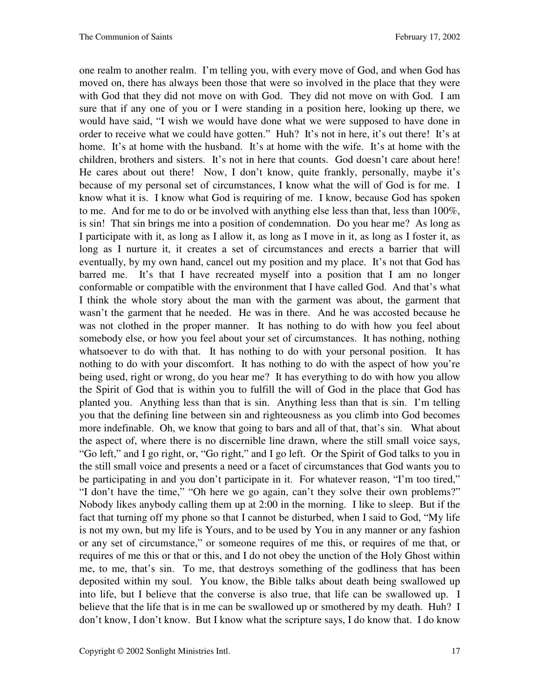one realm to another realm. I'm telling you, with every move of God, and when God has moved on, there has always been those that were so involved in the place that they were with God that they did not move on with God. They did not move on with God. I am sure that if any one of you or I were standing in a position here, looking up there, we would have said, "I wish we would have done what we were supposed to have done in order to receive what we could have gotten." Huh? It's not in here, it's out there! It's at home. It's at home with the husband. It's at home with the wife. It's at home with the children, brothers and sisters. It's not in here that counts. God doesn't care about here! He cares about out there! Now, I don't know, quite frankly, personally, maybe it's because of my personal set of circumstances, I know what the will of God is for me. I know what it is. I know what God is requiring of me. I know, because God has spoken to me. And for me to do or be involved with anything else less than that, less than  $100\%$ , is sin! That sin brings me into a position of condemnation. Do you hear me? As long as I participate with it, as long as I allow it, as long as I move in it, as long as I foster it, as long as I nurture it, it creates a set of circumstances and erects a barrier that will eventually, by my own hand, cancel out my position and my place. It's not that God has barred me. It's that I have recreated myself into a position that I am no longer conformable or compatible with the environment that I have called God. And that's what I think the whole story about the man with the garment was about, the garment that wasn't the garment that he needed. He was in there. And he was accosted because he was not clothed in the proper manner. It has nothing to do with how you feel about somebody else, or how you feel about your set of circumstances. It has nothing, nothing whatsoever to do with that. It has nothing to do with your personal position. It has nothing to do with your discomfort. It has nothing to do with the aspect of how you're being used, right or wrong, do you hear me? It has everything to do with how you allow the Spirit of God that is within you to fulfill the will of God in the place that God has planted you. Anything less than that is sin. Anything less than that is sin. I'm telling you that the defining line between sin and righteousness as you climb into God becomes more indefinable. Oh, we know that going to bars and all of that, that's sin. What about the aspect of, where there is no discernible line drawn, where the still small voice says, "Go left," and I go right, or, "Go right," and I go left. Or the Spirit of God talks to you in the still small voice and presents a need or a facet of circumstances that God wants you to be participating in and you don't participate in it. For whatever reason, "I'm too tired," "I don't have the time," "Oh here we go again, can't they solve their own problems?" Nobody likes anybody calling them up at 2:00 in the morning. I like to sleep. But if the fact that turning off my phone so that I cannot be disturbed, when I said to God, "My life is not my own, but my life is Yours, and to be used by You in any manner or any fashion or any set of circumstance," or someone requires of me this, or requires of me that, or requires of me this or that or this, and I do not obey the unction of the Holy Ghost within me, to me, that's sin. To me, that destroys something of the godliness that has been deposited within my soul. You know, the Bible talks about death being swallowed up into life, but I believe that the converse is also true, that life can be swallowed up. I believe that the life that is in me can be swallowed up or smothered by my death. Huh? I don't know, I don't know. But I know what the scripture says, I do know that. I do know